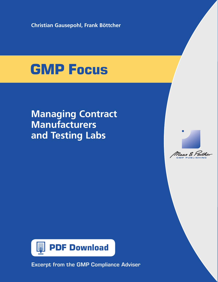**Christian Gausepohl, Frank Böttcher**

# **GMP Focus**

## **Managing Contract Manufacturers and Testing Labs**





Excerpt from the GMP Compliance Adviser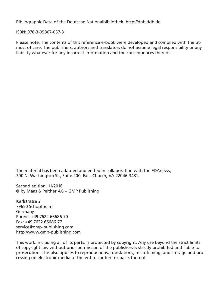Bibliographic Data of the Deutsche Nationalbibliothek: http://dnb.ddb.de

ISBN: 978-3-95807-057-8

Please note: The contents of this reference e-book were developed and compiled with the utmost of care. The publishers, authors and translators do not assume legal responsibility or any liability whatever for any incorrect information and the consequences thereof.

The material has been adapted and edited in collaboration with the FDAnews, 300 N. Washington St., Suite 200, Falls Church, VA 22046-3431.

Second edition, 11/2016 © by Maas & Peither AG – GMP Publishing

Karlstrasse 2 79650 Schopfheim Germany Phone: +49 7622 66686-70 Fax: +49 7622 66686-77 service@gmp-publishing.com http://www.gmp-publishing.com

This work, including all of its parts, is protected by copyright. Any use beyond the strict limits of copyright law without prior permission of the publishers is strictly prohibited and liable to prosecution. This also applies to reproductions, translations, microfilming, and storage and processing on electronic media of the entire content or parts thereof.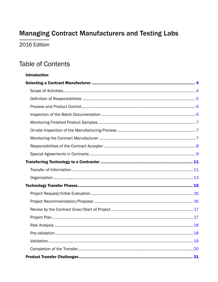## **Managing Contract Manufacturers and Testing Labs**

2016 Edition

## **Table of Contents**

## **Introduction**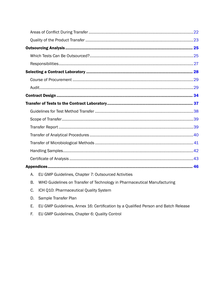- B. WHO Guidelines on Transfer of Technology in Pharmaceutical Manufacturing
- C. ICH Q10: Pharmaceutical Quality System
- D. Sample Transfer Plan
- E. EU GMP Guidelines, Annex 16: Certification by a Qualified Person and Batch Release
- F. EU GMP Guidelines, Chapter 6: Quality Control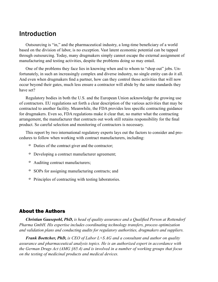## <span id="page-4-0"></span>Introduction

Outsourcing is "in," and the pharmaceutical industry, a long-time beneficiary of a world based on the division of labor, is no exception. Vast latent economic potential can be tapped through outsourcing. Today, many drugmakers simply cannot escape the external assignment of manufacturing and testing activities, despite the problems doing so may entail.

One of the problems they face lies in knowing when and to whom to "shop out" jobs. Unfortunately, in such an increasingly complex and diverse industry, no single entity can do it all. And even when drugmakers find a partner, how can they control those activities that will now occur beyond their gates, much less ensure a contractor will abide by the same standards they have set?

Regulatory bodies in both the U.S. and the European Union acknowledge the growing use of contractors. EU regulations set forth a clear description of the various activities that may be contracted to another facility. Meanwhile, the FDA provides less specific contracting guidance for drugmakers. Even so, FDA regulations make it clear that, no matter what the contracting arrangement, the manufacturer that contracts out work still retains responsibility for the final product. So careful selection and monitoring of contractors is necessary.

This report by two international regulatory experts lays out the factors to consider and procedures to follow when working with contract manufacturers, including:

- º Duties of the contract giver and the contractor;
- º Developing a contract manufacturer agreement;
- º Auditing contract manufacturers;
- º SOPs for assigning manufacturing contracts; and
- º Principles of contracting with testing laboratories.

#### About the Authors

*Christian Gausepohl, PhD, is head of quality assurance and a Qualified Person at Rottendorf Pharma GmbH. His expertise includes coordinating technology transfers, process optimization and validation plans and conducting audits for regulatory authorities, drugmakers and suppliers.*

*Frank Boettcher, PhD, is CEO of Labor L+S AG and a consultant and author on quality assurance and pharmaceutical analysis topics. He is an authorized expert in accordance with the German Drugs Act (AMG §65.4) and is involved in a number of working groups that focus on the testing of medicinal products and medical devices.*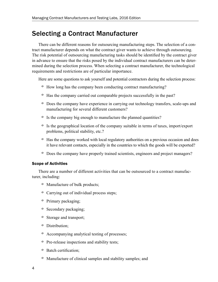## <span id="page-5-0"></span>Selecting a Contract Manufacturer

There can be different reasons for outsourcing manufacturing steps. The selection of a contract manufacturer depends on what the contract giver wants to achieve through outsourcing. The risk potential of outsourcing manufacturing tasks should be identified by the contract giver in advance to ensure that the risks posed by the individual contract manufacturers can be determined during the selection process. When selecting a contract manufacturer, the technological requirements and restrictions are of particular importance.

Here are some questions to ask yourself and potential contractors during the selection process:

- º How long has the company been conducting contract manufacturing?
- º Has the company carried out comparable projects successfully in the past?
- º Does the company have experience in carrying out technology transfers, scale-ups and manufacturing for several different customers?
- º Is the company big enough to manufacture the planned quantities?
- º Is the geographical location of the company suitable in terms of taxes, import/export problems, political stability, etc.?
- º Has the company worked with local regulatory authorities on a previous occasion and does it have relevant contacts, especially in the countries to which the goods will be exported?
- º Does the company have properly trained scientists, engineers and project managers?

#### <span id="page-5-1"></span>Scope of Activities

There are a number of different activities that can be outsourced to a contract manufacturer, including:

- º Manufacture of bulk products;
- º Carrying out of individual process steps;
- º Primary packaging;
- º Secondary packaging;
- º Storage and transport;
- º Distribution;
- º Accompanying analytical testing of processes;
- º Pre-release inspections and stability tests;
- º Batch certification;
- º Manufacture of clinical samples and stability samples; and